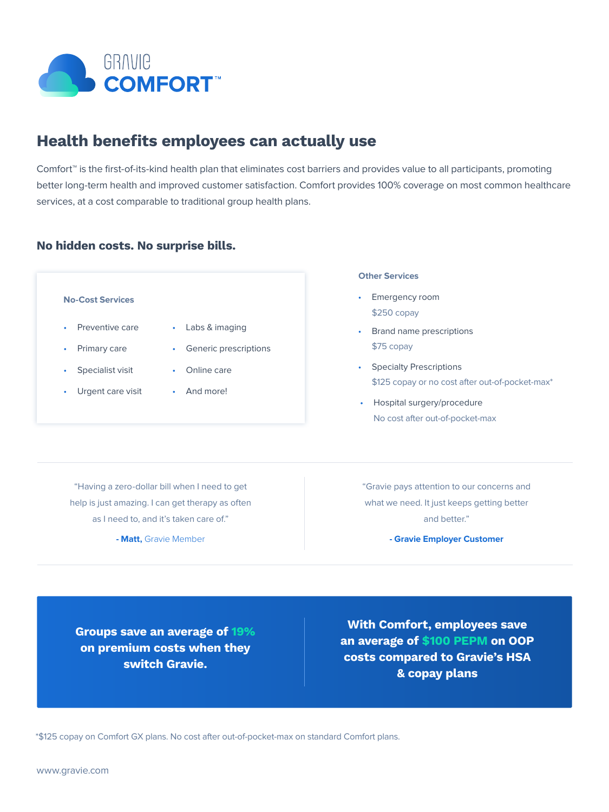

# Health benefits employees can actually use

Comfort™ is the first-of-its-kind health plan that eliminates cost barriers and provides value to all participants, promoting better long-term health and improved customer satisfaction. Comfort provides 100% coverage on most common healthcare services, at a cost comparable to traditional group health plans.

## No hidden costs. No surprise bills.

## • Preventive care • Primary care Specialist visit • Urgent care visit • Labs & imaging • Generic prescriptions • Online care • And more! **No-Cost Services**

#### **Other Services**

- Emergency room \$250 copay
- Brand name prescriptions \$75 copay
- Specialty Prescriptions \$125 copay or no cost after out-of-pocket-max\*
- Hospital surgery/procedure No cost after out-of-pocket-max

"Having a zero-dollar bill when I need to get help is just amazing. I can get therapy as often as I need to, and it's taken care of."

**- Matt,** Gravie Member

"Gravie pays attention to our concerns and what we need. It just keeps getting better and better."

**- Gravie Employer Customer**

Groups save an average of 19% on premium costs when they switch Gravie.

With Comfort, employees save an average of \$100 PEPM on OOP costs compared to Gravie's HSA & copay plans

\*\$125 copay on Comfort GX plans. No cost after out-of-pocket-max on standard Comfort plans.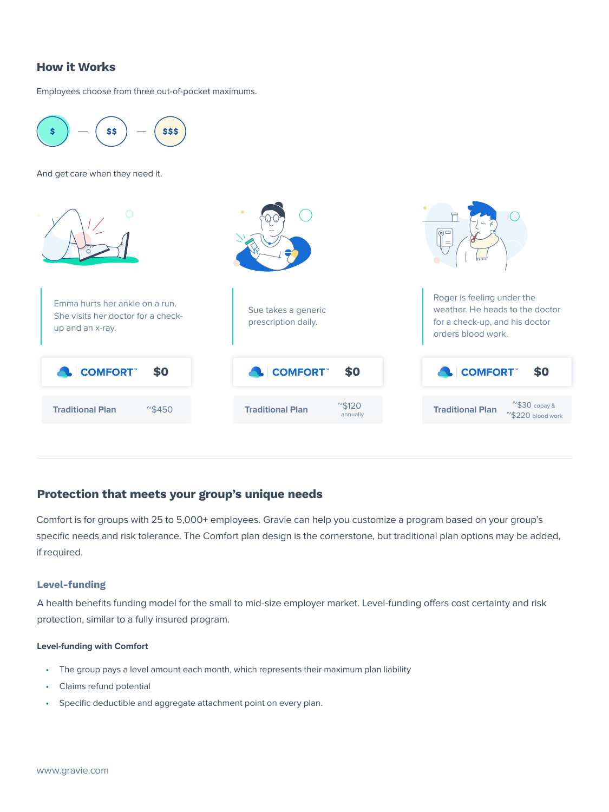## How it Works

Employees choose from three out-of-pocket maximums.



## Protection that meets your group's unique needs

Comfort is for groups with 25 to 5,000+ employees. Gravie can help you customize a program based on your group's specific needs and risk tolerance. The Comfort plan design is the cornerstone, but traditional plan options may be added, if required.

### Level-funding

A health benefits funding model for the small to mid-size employer market. Level-funding offers cost certainty and risk protection, similar to a fully insured program.

#### **Level-funding with Comfort**

- The group pays a level amount each month, which represents their maximum plan liability
- Claims refund potential
- Specific deductible and aggregate attachment point on every plan.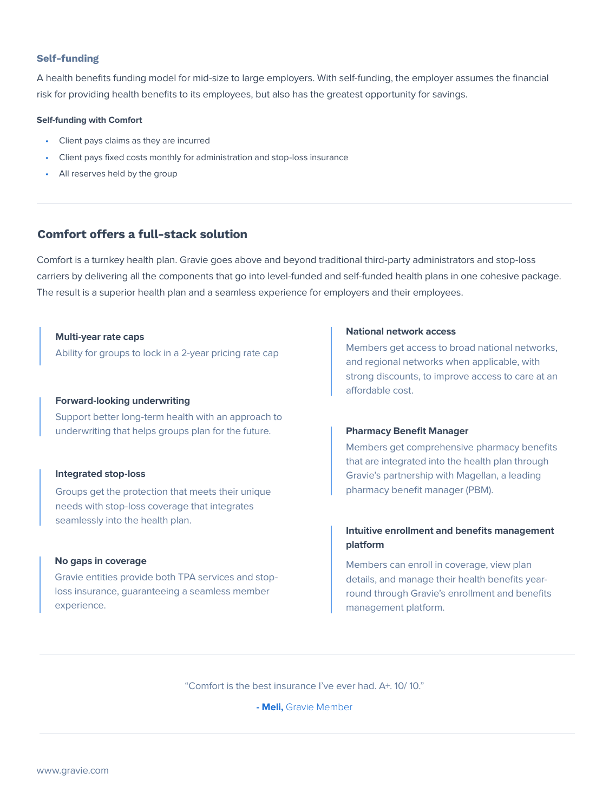#### Self-funding

A health benefits funding model for mid-size to large employers. With self-funding, the employer assumes the financial risk for providing health benefits to its employees, but also has the greatest opportunity for savings.

#### **Self-funding with Comfort**

- Client pays claims as they are incurred
- Client pays fixed costs monthly for administration and stop-loss insurance
- All reserves held by the group

## Comfort offers a full-stack solution

Comfort is a turnkey health plan. Gravie goes above and beyond traditional third-party administrators and stop-loss carriers by delivering all the components that go into level-funded and self-funded health plans in one cohesive package. The result is a superior health plan and a seamless experience for employers and their employees.

**Multi-year rate caps**

Ability for groups to lock in a 2-year pricing rate cap

#### **Forward-looking underwriting**

Support better long-term health with an approach to underwriting that helps groups plan for the future.

#### **Integrated stop-loss**

Groups get the protection that meets their unique needs with stop-loss coverage that integrates seamlessly into the health plan.

#### **No gaps in coverage**

Gravie entities provide both TPA services and stoploss insurance, guaranteeing a seamless member experience.

#### **National network access**

Members get access to broad national networks, and regional networks when applicable, with strong discounts, to improve access to care at an affordable cost.

#### **Pharmacy Benefit Manager**

Members get comprehensive pharmacy benefits that are integrated into the health plan through Gravie's partnership with Magellan, a leading pharmacy benefit manager (PBM).

## **Intuitive enrollment and benefits management platform**

Members can enroll in coverage, view plan details, and manage their health benefits yearround through Gravie's enrollment and benefits management platform.

"Comfort is the best insurance I've ever had. A+. 10/ 10."

**- Meli,** Gravie Member